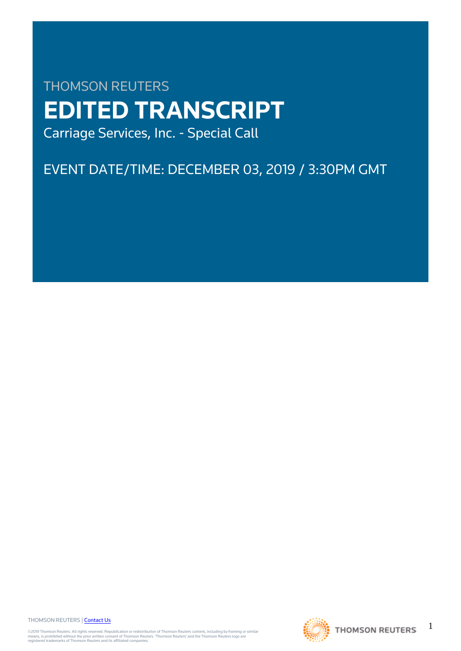# THOMSON REUTERS **EDITED TRANSCRIPT** Carriage Services, Inc. - Special Call

EVENT DATE/TIME: DECEMBER 03, 2019 / 3:30PM GMT

THOMSON REUTERS | [Contact Us](https://my.thomsonreuters.com/ContactUsNew)

©2019 Thomson Reuters. All rights reserved. Republication or redistribution of Thomson Reuters content, including by framing or similar<br>means, is prohibited without the prior written consent of Thomson Reuters. "Thomson Re



1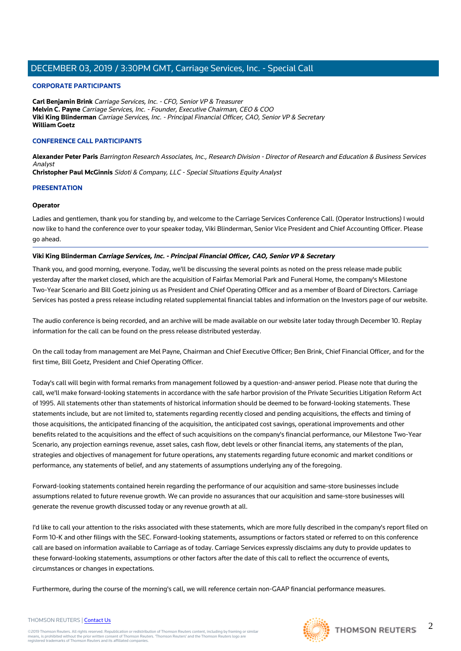## **CORPORATE PARTICIPANTS**

**Carl Benjamin Brink** Carriage Services, Inc. - CFO, Senior VP & Treasurer **Melvin C. Payne** Carriage Services, Inc. - Founder, Executive Chairman, CEO & COO **Viki King Blinderman** Carriage Services, Inc. - Principal Financial Officer, CAO, Senior VP & Secretary **William Goetz**

## **CONFERENCE CALL PARTICIPANTS**

**Alexander Peter Paris** Barrington Research Associates, Inc., Research Division - Director of Research and Education & Business Services Analyst

**Christopher Paul McGinnis** Sidoti & Company, LLC - Special Situations Equity Analyst

## **PRESENTATION**

#### **Operator**

Ladies and gentlemen, thank you for standing by, and welcome to the Carriage Services Conference Call. (Operator Instructions) I would now like to hand the conference over to your speaker today, Viki Blinderman, Senior Vice President and Chief Accounting Officer. Please go ahead.

## **Viki King Blinderman Carriage Services, Inc. - Principal Financial Officer, CAO, Senior VP & Secretary**

Thank you, and good morning, everyone. Today, we'll be discussing the several points as noted on the press release made public yesterday after the market closed, which are the acquisition of Fairfax Memorial Park and Funeral Home, the company's Milestone Two-Year Scenario and Bill Goetz joining us as President and Chief Operating Officer and as a member of Board of Directors. Carriage Services has posted a press release including related supplemental financial tables and information on the Investors page of our website.

The audio conference is being recorded, and an archive will be made available on our website later today through December 10. Replay information for the call can be found on the press release distributed yesterday.

On the call today from management are Mel Payne, Chairman and Chief Executive Officer; Ben Brink, Chief Financial Officer, and for the first time, Bill Goetz, President and Chief Operating Officer.

Today's call will begin with formal remarks from management followed by a question-and-answer period. Please note that during the call, we'll make forward-looking statements in accordance with the safe harbor provision of the Private Securities Litigation Reform Act of 1995. All statements other than statements of historical information should be deemed to be forward-looking statements. These statements include, but are not limited to, statements regarding recently closed and pending acquisitions, the effects and timing of those acquisitions, the anticipated financing of the acquisition, the anticipated cost savings, operational improvements and other benefits related to the acquisitions and the effect of such acquisitions on the company's financial performance, our Milestone Two-Year Scenario, any projection earnings revenue, asset sales, cash flow, debt levels or other financial items, any statements of the plan, strategies and objectives of management for future operations, any statements regarding future economic and market conditions or performance, any statements of belief, and any statements of assumptions underlying any of the foregoing.

Forward-looking statements contained herein regarding the performance of our acquisition and same-store businesses include assumptions related to future revenue growth. We can provide no assurances that our acquisition and same-store businesses will generate the revenue growth discussed today or any revenue growth at all.

I'd like to call your attention to the risks associated with these statements, which are more fully described in the company's report filed on Form 10-K and other filings with the SEC. Forward-looking statements, assumptions or factors stated or referred to on this conference call are based on information available to Carriage as of today. Carriage Services expressly disclaims any duty to provide updates to these forward-looking statements, assumptions or other factors after the date of this call to reflect the occurrence of events, circumstances or changes in expectations.

Furthermore, during the course of the morning's call, we will reference certain non-GAAP financial performance measures.

#### THOMSON REUTERS | [Contact Us](https://my.thomsonreuters.com/ContactUsNew)

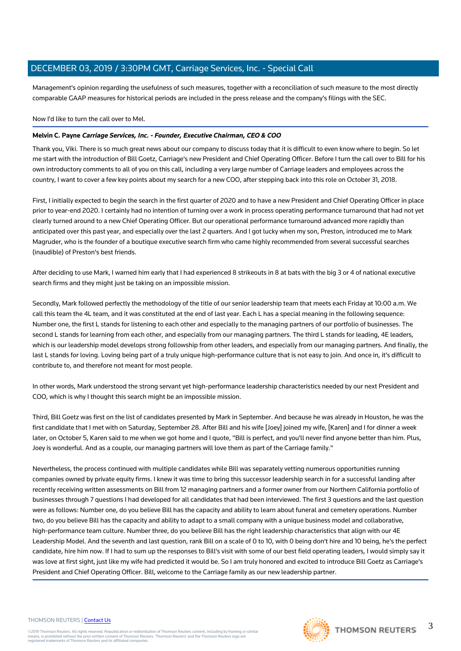Management's opinion regarding the usefulness of such measures, together with a reconciliation of such measure to the most directly comparable GAAP measures for historical periods are included in the press release and the company's filings with the SEC.

Now I'd like to turn the call over to Mel.

#### **Melvin C. Payne Carriage Services, Inc. - Founder, Executive Chairman, CEO & COO**

Thank you, Viki. There is so much great news about our company to discuss today that it is difficult to even know where to begin. So let me start with the introduction of Bill Goetz, Carriage's new President and Chief Operating Officer. Before I turn the call over to Bill for his own introductory comments to all of you on this call, including a very large number of Carriage leaders and employees across the country, I want to cover a few key points about my search for a new COO, after stepping back into this role on October 31, 2018.

First, I initially expected to begin the search in the first quarter of 2020 and to have a new President and Chief Operating Officer in place prior to year-end 2020. I certainly had no intention of turning over a work in process operating performance turnaround that had not yet clearly turned around to a new Chief Operating Officer. But our operational performance turnaround advanced more rapidly than anticipated over this past year, and especially over the last 2 quarters. And I got lucky when my son, Preston, introduced me to Mark Magruder, who is the founder of a boutique executive search firm who came highly recommended from several successful searches (inaudible) of Preston's best friends.

After deciding to use Mark, I warned him early that I had experienced 8 strikeouts in 8 at bats with the big 3 or 4 of national executive search firms and they might just be taking on an impossible mission.

Secondly, Mark followed perfectly the methodology of the title of our senior leadership team that meets each Friday at 10:00 a.m. We call this team the 4L team, and it was constituted at the end of last year. Each L has a special meaning in the following sequence: Number one, the first L stands for listening to each other and especially to the managing partners of our portfolio of businesses. The second L stands for learning from each other, and especially from our managing partners. The third L stands for leading, 4E leaders, which is our leadership model develops strong followship from other leaders, and especially from our managing partners. And finally, the last L stands for loving. Loving being part of a truly unique high-performance culture that is not easy to join. And once in, it's difficult to contribute to, and therefore not meant for most people.

In other words, Mark understood the strong servant yet high-performance leadership characteristics needed by our next President and COO, which is why I thought this search might be an impossible mission.

Third, Bill Goetz was first on the list of candidates presented by Mark in September. And because he was already in Houston, he was the first candidate that I met with on Saturday, September 28. After Bill and his wife [Joey] joined my wife, [Karen] and I for dinner a week later, on October 5, Karen said to me when we got home and I quote, "Bill is perfect, and you'll never find anyone better than him. Plus, Joey is wonderful. And as a couple, our managing partners will love them as part of the Carriage family."

Nevertheless, the process continued with multiple candidates while Bill was separately vetting numerous opportunities running companies owned by private equity firms. I knew it was time to bring this successor leadership search in for a successful landing after recently receiving written assessments on Bill from 12 managing partners and a former owner from our Northern California portfolio of businesses through 7 questions I had developed for all candidates that had been interviewed. The first 3 questions and the last question were as follows: Number one, do you believe Bill has the capacity and ability to learn about funeral and cemetery operations. Number two, do you believe Bill has the capacity and ability to adapt to a small company with a unique business model and collaborative, high-performance team culture. Number three, do you believe Bill has the right leadership characteristics that align with our 4E Leadership Model. And the seventh and last question, rank Bill on a scale of 0 to 10, with 0 being don't hire and 10 being, he's the perfect candidate, hire him now. If I had to sum up the responses to Bill's visit with some of our best field operating leaders, I would simply say it was love at first sight, just like my wife had predicted it would be. So I am truly honored and excited to introduce Bill Goetz as Carriage's President and Chief Operating Officer. Bill, welcome to the Carriage family as our new leadership partner.

#### THOMSON REUTERS | [Contact Us](https://my.thomsonreuters.com/ContactUsNew)

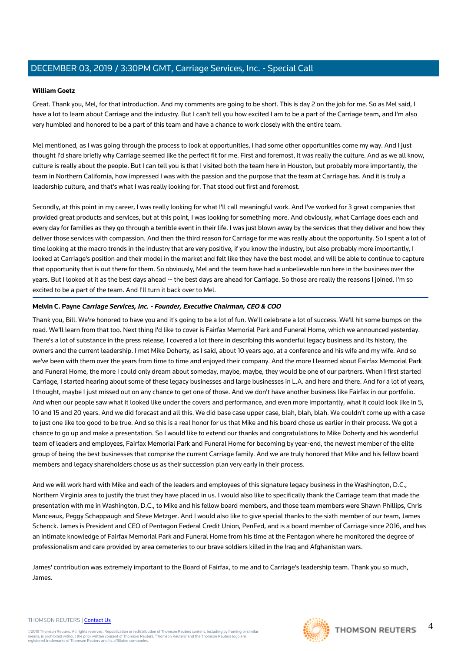#### **William Goetz**

Great. Thank you, Mel, for that introduction. And my comments are going to be short. This is day 2 on the job for me. So as Mel said, I have a lot to learn about Carriage and the industry. But I can't tell you how excited I am to be a part of the Carriage team, and I'm also very humbled and honored to be a part of this team and have a chance to work closely with the entire team.

Mel mentioned, as I was going through the process to look at opportunities, I had some other opportunities come my way. And I just thought I'd share briefly why Carriage seemed like the perfect fit for me. First and foremost, it was really the culture. And as we all know, culture is really about the people. But I can tell you is that I visited both the team here in Houston, but probably more importantly, the team in Northern California, how impressed I was with the passion and the purpose that the team at Carriage has. And it is truly a leadership culture, and that's what I was really looking for. That stood out first and foremost.

Secondly, at this point in my career, I was really looking for what I'll call meaningful work. And I've worked for 3 great companies that provided great products and services, but at this point, I was looking for something more. And obviously, what Carriage does each and every day for families as they go through a terrible event in their life. I was just blown away by the services that they deliver and how they deliver those services with compassion. And then the third reason for Carriage for me was really about the opportunity. So I spent a lot of time looking at the macro trends in the industry that are very positive, if you know the industry, but also probably more importantly, I looked at Carriage's position and their model in the market and felt like they have the best model and will be able to continue to capture that opportunity that is out there for them. So obviously, Mel and the team have had a unbelievable run here in the business over the years. But I looked at it as the best days ahead -- the best days are ahead for Carriage. So those are really the reasons I joined. I'm so excited to be a part of the team. And I'll turn it back over to Mel.

## **Melvin C. Payne Carriage Services, Inc. - Founder, Executive Chairman, CEO & COO**

Thank you, Bill. We're honored to have you and it's going to be a lot of fun. We'll celebrate a lot of success. We'll hit some bumps on the road. We'll learn from that too. Next thing I'd like to cover is Fairfax Memorial Park and Funeral Home, which we announced yesterday. There's a lot of substance in the press release, I covered a lot there in describing this wonderful legacy business and its history, the owners and the current leadership. I met Mike Doherty, as I said, about 10 years ago, at a conference and his wife and my wife. And so we've been with them over the years from time to time and enjoyed their company. And the more I learned about Fairfax Memorial Park and Funeral Home, the more I could only dream about someday, maybe, maybe, they would be one of our partners. When I first started Carriage, I started hearing about some of these legacy businesses and large businesses in L.A. and here and there. And for a lot of years, I thought, maybe I just missed out on any chance to get one of those. And we don't have another business like Fairfax in our portfolio. And when our people saw what it looked like under the covers and performance, and even more importantly, what it could look like in 5, 10 and 15 and 20 years. And we did forecast and all this. We did base case upper case, blah, blah, blah. We couldn't come up with a case to just one like too good to be true. And so this is a real honor for us that Mike and his board chose us earlier in their process. We got a chance to go up and make a presentation. So I would like to extend our thanks and congratulations to Mike Doherty and his wonderful team of leaders and employees, Fairfax Memorial Park and Funeral Home for becoming by year-end, the newest member of the elite group of being the best businesses that comprise the current Carriage family. And we are truly honored that Mike and his fellow board members and legacy shareholders chose us as their succession plan very early in their process.

And we will work hard with Mike and each of the leaders and employees of this signature legacy business in the Washington, D.C., Northern Virginia area to justify the trust they have placed in us. I would also like to specifically thank the Carriage team that made the presentation with me in Washington, D.C., to Mike and his fellow board members, and those team members were Shawn Phillips, Chris Manceaux, Peggy Schappaugh and Steve Metzger. And I would also like to give special thanks to the sixth member of our team, James Schenck. James is President and CEO of Pentagon Federal Credit Union, PenFed, and is a board member of Carriage since 2016, and has an intimate knowledge of Fairfax Memorial Park and Funeral Home from his time at the Pentagon where he monitored the degree of professionalism and care provided by area cemeteries to our brave soldiers killed in the Iraq and Afghanistan wars.

James' contribution was extremely important to the Board of Fairfax, to me and to Carriage's leadership team. Thank you so much, James.

#### THOMSON REUTERS | [Contact Us](https://my.thomsonreuters.com/ContactUsNew)

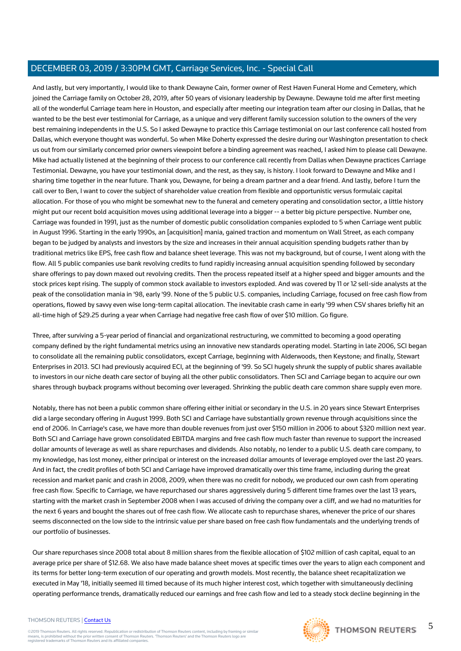And lastly, but very importantly, I would like to thank Dewayne Cain, former owner of Rest Haven Funeral Home and Cemetery, which joined the Carriage family on October 28, 2019, after 50 years of visionary leadership by Dewayne. Dewayne told me after first meeting all of the wonderful Carriage team here in Houston, and especially after meeting our integration team after our closing in Dallas, that he wanted to be the best ever testimonial for Carriage, as a unique and very different family succession solution to the owners of the very best remaining independents in the U.S. So I asked Dewayne to practice this Carriage testimonial on our last conference call hosted from Dallas, which everyone thought was wonderful. So when Mike Doherty expressed the desire during our Washington presentation to check us out from our similarly concerned prior owners viewpoint before a binding agreement was reached, I asked him to please call Dewayne. Mike had actually listened at the beginning of their process to our conference call recently from Dallas when Dewayne practices Carriage Testimonial. Dewayne, you have your testimonial down, and the rest, as they say, is history. I look forward to Dewayne and Mike and I sharing time together in the near future. Thank you, Dewayne, for being a dream partner and a dear friend. And lastly, before I turn the call over to Ben, I want to cover the subject of shareholder value creation from flexible and opportunistic versus formulaic capital allocation. For those of you who might be somewhat new to the funeral and cemetery operating and consolidation sector, a little history might put our recent bold acquisition moves using additional leverage into a bigger -- a better big picture perspective. Number one, Carriage was founded in 1991, just as the number of domestic public consolidation companies exploded to 5 when Carriage went public in August 1996. Starting in the early 1990s, an [acquisition] mania, gained traction and momentum on Wall Street, as each company began to be judged by analysts and investors by the size and increases in their annual acquisition spending budgets rather than by traditional metrics like EPS, free cash flow and balance sheet leverage. This was not my background, but of course, I went along with the flow. All 5 public companies use bank revolving credits to fund rapidly increasing annual acquisition spending followed by secondary share offerings to pay down maxed out revolving credits. Then the process repeated itself at a higher speed and bigger amounts and the stock prices kept rising. The supply of common stock available to investors exploded. And was covered by 11 or 12 sell-side analysts at the peak of the consolidation mania in '98, early '99. None of the 5 public U.S. companies, including Carriage, focused on free cash flow from operations, flowed by savvy even wise long-term capital allocation. The inevitable crash came in early '99 when CSV shares briefly hit an all-time high of \$29.25 during a year when Carriage had negative free cash flow of over \$10 million. Go figure.

Three, after surviving a 5-year period of financial and organizational restructuring, we committed to becoming a good operating company defined by the right fundamental metrics using an innovative new standards operating model. Starting in late 2006, SCI began to consolidate all the remaining public consolidators, except Carriage, beginning with Alderwoods, then Keystone; and finally, Stewart Enterprises in 2013. SCI had previously acquired ECI, at the beginning of '99. So SCI hugely shrunk the supply of public shares available to investors in our niche death care sector of buying all the other public consolidators. Then SCI and Carriage began to acquire our own shares through buyback programs without becoming over leveraged. Shrinking the public death care common share supply even more.

Notably, there has not been a public common share offering either initial or secondary in the U.S. in 20 years since Stewart Enterprises did a large secondary offering in August 1999. Both SCI and Carriage have substantially grown revenue through acquisitions since the end of 2006. In Carriage's case, we have more than double revenues from just over \$150 million in 2006 to about \$320 million next year. Both SCI and Carriage have grown consolidated EBITDA margins and free cash flow much faster than revenue to support the increased dollar amounts of leverage as well as share repurchases and dividends. Also notably, no lender to a public U.S. death care company, to my knowledge, has lost money, either principal or interest on the increased dollar amounts of leverage employed over the last 20 years. And in fact, the credit profiles of both SCI and Carriage have improved dramatically over this time frame, including during the great recession and market panic and crash in 2008, 2009, when there was no credit for nobody, we produced our own cash from operating free cash flow. Specific to Carriage, we have repurchased our shares aggressively during 5 different time frames over the last 13 years, starting with the market crash in September 2008 when I was accused of driving the company over a cliff, and we had no maturities for the next 6 years and bought the shares out of free cash flow. We allocate cash to repurchase shares, whenever the price of our shares seems disconnected on the low side to the intrinsic value per share based on free cash flow fundamentals and the underlying trends of our portfolio of businesses.

Our share repurchases since 2008 total about 8 million shares from the flexible allocation of \$102 million of cash capital, equal to an average price per share of \$12.68. We also have made balance sheet moves at specific times over the years to align each component and its terms for better long-term execution of our operating and growth models. Most recently, the balance sheet recapitalization we executed in May '18, initially seemed ill timed because of its much higher interest cost, which together with simultaneously declining operating performance trends, dramatically reduced our earnings and free cash flow and led to a steady stock decline beginning in the

#### THOMSON REUTERS | [Contact Us](https://my.thomsonreuters.com/ContactUsNew)

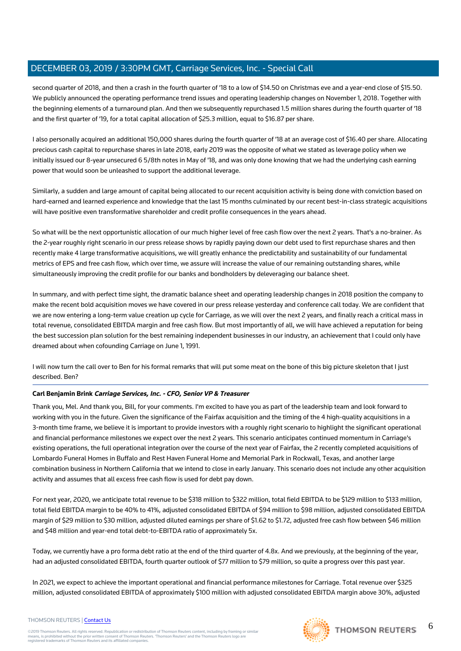second quarter of 2018, and then a crash in the fourth quarter of '18 to a low of \$14.50 on Christmas eve and a year-end close of \$15.50. We publicly announced the operating performance trend issues and operating leadership changes on November 1, 2018. Together with the beginning elements of a turnaround plan. And then we subsequently repurchased 1.5 million shares during the fourth quarter of '18 and the first quarter of '19, for a total capital allocation of \$25.3 million, equal to \$16.87 per share.

I also personally acquired an additional 150,000 shares during the fourth quarter of '18 at an average cost of \$16.40 per share. Allocating precious cash capital to repurchase shares in late 2018, early 2019 was the opposite of what we stated as leverage policy when we initially issued our 8-year unsecured 6 5/8th notes in May of '18, and was only done knowing that we had the underlying cash earning power that would soon be unleashed to support the additional leverage.

Similarly, a sudden and large amount of capital being allocated to our recent acquisition activity is being done with conviction based on hard-earned and learned experience and knowledge that the last 15 months culminated by our recent best-in-class strategic acquisitions will have positive even transformative shareholder and credit profile consequences in the years ahead.

So what will be the next opportunistic allocation of our much higher level of free cash flow over the next 2 years. That's a no-brainer. As the 2-year roughly right scenario in our press release shows by rapidly paying down our debt used to first repurchase shares and then recently make 4 large transformative acquisitions, we will greatly enhance the predictability and sustainability of our fundamental metrics of EPS and free cash flow, which over time, we assure will increase the value of our remaining outstanding shares, while simultaneously improving the credit profile for our banks and bondholders by deleveraging our balance sheet.

In summary, and with perfect time sight, the dramatic balance sheet and operating leadership changes in 2018 position the company to make the recent bold acquisition moves we have covered in our press release yesterday and conference call today. We are confident that we are now entering a long-term value creation up cycle for Carriage, as we will over the next 2 years, and finally reach a critical mass in total revenue, consolidated EBITDA margin and free cash flow. But most importantly of all, we will have achieved a reputation for being the best succession plan solution for the best remaining independent businesses in our industry, an achievement that I could only have dreamed about when cofounding Carriage on June 1, 1991.

I will now turn the call over to Ben for his formal remarks that will put some meat on the bone of this big picture skeleton that I just described. Ben?

## **Carl Benjamin Brink Carriage Services, Inc. - CFO, Senior VP & Treasurer**

Thank you, Mel. And thank you, Bill, for your comments. I'm excited to have you as part of the leadership team and look forward to working with you in the future. Given the significance of the Fairfax acquisition and the timing of the 4 high-quality acquisitions in a 3-month time frame, we believe it is important to provide investors with a roughly right scenario to highlight the significant operational and financial performance milestones we expect over the next 2 years. This scenario anticipates continued momentum in Carriage's existing operations, the full operational integration over the course of the next year of Fairfax, the 2 recently completed acquisitions of Lombardo Funeral Homes in Buffalo and Rest Haven Funeral Home and Memorial Park in Rockwall, Texas, and another large combination business in Northern California that we intend to close in early January. This scenario does not include any other acquisition activity and assumes that all excess free cash flow is used for debt pay down.

For next year, 2020, we anticipate total revenue to be \$318 million to \$322 million, total field EBITDA to be \$129 million to \$133 million, total field EBITDA margin to be 40% to 41%, adjusted consolidated EBITDA of \$94 million to \$98 million, adjusted consolidated EBITDA margin of \$29 million to \$30 million, adjusted diluted earnings per share of \$1.62 to \$1.72, adjusted free cash flow between \$46 million and \$48 million and year-end total debt-to-EBITDA ratio of approximately 5x.

Today, we currently have a pro forma debt ratio at the end of the third quarter of 4.8x. And we previously, at the beginning of the year, had an adjusted consolidated EBITDA, fourth quarter outlook of \$77 million to \$79 million, so quite a progress over this past year.

In 2021, we expect to achieve the important operational and financial performance milestones for Carriage. Total revenue over \$325 million, adjusted consolidated EBITDA of approximately \$100 million with adjusted consolidated EBITDA margin above 30%, adjusted

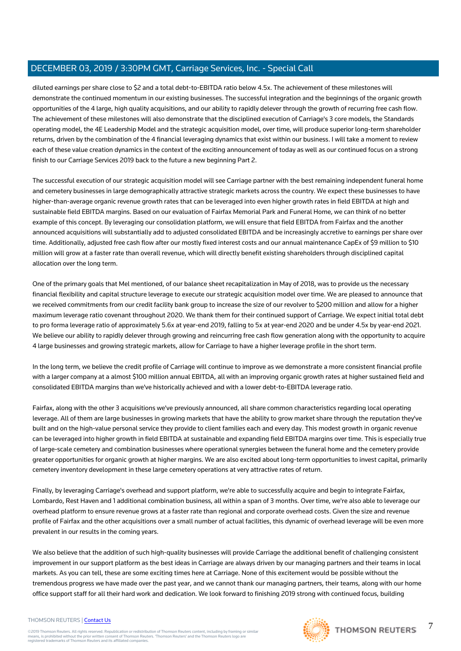diluted earnings per share close to \$2 and a total debt-to-EBITDA ratio below 4.5x. The achievement of these milestones will demonstrate the continued momentum in our existing businesses. The successful integration and the beginnings of the organic growth opportunities of the 4 large, high quality acquisitions, and our ability to rapidly delever through the growth of recurring free cash flow. The achievement of these milestones will also demonstrate that the disciplined execution of Carriage's 3 core models, the Standards operating model, the 4E Leadership Model and the strategic acquisition model, over time, will produce superior long-term shareholder returns, driven by the combination of the 4 financial leveraging dynamics that exist within our business. I will take a moment to review each of these value creation dynamics in the context of the exciting announcement of today as well as our continued focus on a strong finish to our Carriage Services 2019 back to the future a new beginning Part 2.

The successful execution of our strategic acquisition model will see Carriage partner with the best remaining independent funeral home and cemetery businesses in large demographically attractive strategic markets across the country. We expect these businesses to have higher-than-average organic revenue growth rates that can be leveraged into even higher growth rates in field EBITDA at high and sustainable field EBITDA margins. Based on our evaluation of Fairfax Memorial Park and Funeral Home, we can think of no better example of this concept. By leveraging our consolidation platform, we will ensure that field EBITDA from Fairfax and the another announced acquisitions will substantially add to adjusted consolidated EBITDA and be increasingly accretive to earnings per share over time. Additionally, adjusted free cash flow after our mostly fixed interest costs and our annual maintenance CapEx of \$9 million to \$10 million will grow at a faster rate than overall revenue, which will directly benefit existing shareholders through disciplined capital allocation over the long term.

One of the primary goals that Mel mentioned, of our balance sheet recapitalization in May of 2018, was to provide us the necessary financial flexibility and capital structure leverage to execute our strategic acquisition model over time. We are pleased to announce that we received commitments from our credit facility bank group to increase the size of our revolver to \$200 million and allow for a higher maximum leverage ratio covenant throughout 2020. We thank them for their continued support of Carriage. We expect initial total debt to pro forma leverage ratio of approximately 5.6x at year-end 2019, falling to 5x at year-end 2020 and be under 4.5x by year-end 2021. We believe our ability to rapidly delever through growing and reincurring free cash flow generation along with the opportunity to acquire 4 large businesses and growing strategic markets, allow for Carriage to have a higher leverage profile in the short term.

In the long term, we believe the credit profile of Carriage will continue to improve as we demonstrate a more consistent financial profile with a larger company at a almost \$100 million annual EBITDA, all with an improving organic growth rates at higher sustained field and consolidated EBITDA margins than we've historically achieved and with a lower debt-to-EBITDA leverage ratio.

Fairfax, along with the other 3 acquisitions we've previously announced, all share common characteristics regarding local operating leverage. All of them are large businesses in growing markets that have the ability to grow market share through the reputation they've built and on the high-value personal service they provide to client families each and every day. This modest growth in organic revenue can be leveraged into higher growth in field EBITDA at sustainable and expanding field EBITDA margins over time. This is especially true of large-scale cemetery and combination businesses where operational synergies between the funeral home and the cemetery provide greater opportunities for organic growth at higher margins. We are also excited about long-term opportunities to invest capital, primarily cemetery inventory development in these large cemetery operations at very attractive rates of return.

Finally, by leveraging Carriage's overhead and support platform, we're able to successfully acquire and begin to integrate Fairfax, Lombardo, Rest Haven and 1 additional combination business, all within a span of 3 months. Over time, we're also able to leverage our overhead platform to ensure revenue grows at a faster rate than regional and corporate overhead costs. Given the size and revenue profile of Fairfax and the other acquisitions over a small number of actual facilities, this dynamic of overhead leverage will be even more prevalent in our results in the coming years.

We also believe that the addition of such high-quality businesses will provide Carriage the additional benefit of challenging consistent improvement in our support platform as the best ideas in Carriage are always driven by our managing partners and their teams in local markets. As you can tell, these are some exciting times here at Carriage. None of this excitement would be possible without the tremendous progress we have made over the past year, and we cannot thank our managing partners, their teams, along with our home office support staff for all their hard work and dedication. We look forward to finishing 2019 strong with continued focus, building

#### THOMSON REUTERS | [Contact Us](https://my.thomsonreuters.com/ContactUsNew)

©2019 Thomson Reuters. All rights reserved. Republication or redistribution of Thomson Reuters content, including by framing or similar<br>means, is prohibited without the prior written consent of Thomson Reuters. "Thomson Re



7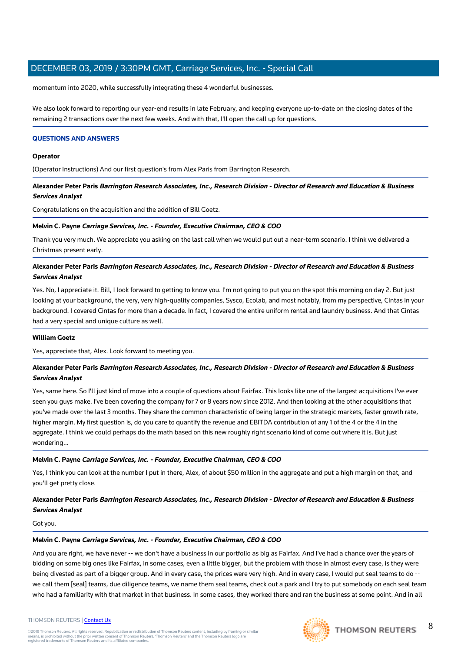momentum into 2020, while successfully integrating these 4 wonderful businesses.

We also look forward to reporting our year-end results in late February, and keeping everyone up-to-date on the closing dates of the remaining 2 transactions over the next few weeks. And with that, I'll open the call up for questions.

## **QUESTIONS AND ANSWERS**

#### **Operator**

(Operator Instructions) And our first question's from Alex Paris from Barrington Research.

**Alexander Peter Paris Barrington Research Associates, Inc., Research Division - Director of Research and Education & Business Services Analyst**

Congratulations on the acquisition and the addition of Bill Goetz.

## **Melvin C. Payne Carriage Services, Inc. - Founder, Executive Chairman, CEO & COO**

Thank you very much. We appreciate you asking on the last call when we would put out a near-term scenario. I think we delivered a Christmas present early.

## **Alexander Peter Paris Barrington Research Associates, Inc., Research Division - Director of Research and Education & Business Services Analyst**

Yes. No, I appreciate it. Bill, I look forward to getting to know you. I'm not going to put you on the spot this morning on day 2. But just looking at your background, the very, very high-quality companies, Sysco, Ecolab, and most notably, from my perspective, Cintas in your background. I covered Cintas for more than a decade. In fact, I covered the entire uniform rental and laundry business. And that Cintas had a very special and unique culture as well.

## **William Goetz**

Yes, appreciate that, Alex. Look forward to meeting you.

## **Alexander Peter Paris Barrington Research Associates, Inc., Research Division - Director of Research and Education & Business Services Analyst**

Yes, same here. So I'll just kind of move into a couple of questions about Fairfax. This looks like one of the largest acquisitions I've ever seen you guys make. I've been covering the company for 7 or 8 years now since 2012. And then looking at the other acquisitions that you've made over the last 3 months. They share the common characteristic of being larger in the strategic markets, faster growth rate, higher margin. My first question is, do you care to quantify the revenue and EBITDA contribution of any 1 of the 4 or the 4 in the aggregate. I think we could perhaps do the math based on this new roughly right scenario kind of come out where it is. But just wondering...

## **Melvin C. Payne Carriage Services, Inc. - Founder, Executive Chairman, CEO & COO**

Yes, I think you can look at the number I put in there, Alex, of about \$50 million in the aggregate and put a high margin on that, and you'll get pretty close.

## **Alexander Peter Paris Barrington Research Associates, Inc., Research Division - Director of Research and Education & Business Services Analyst**

Got you.

## **Melvin C. Payne Carriage Services, Inc. - Founder, Executive Chairman, CEO & COO**

And you are right, we have never -- we don't have a business in our portfolio as big as Fairfax. And I've had a chance over the years of bidding on some big ones like Fairfax, in some cases, even a little bigger, but the problem with those in almost every case, is they were being divested as part of a bigger group. And in every case, the prices were very high. And in every case, I would put seal teams to do -we call them [seal] teams, due diligence teams, we name them seal teams, check out a park and I try to put somebody on each seal team who had a familiarity with that market in that business. In some cases, they worked there and ran the business at some point. And in all

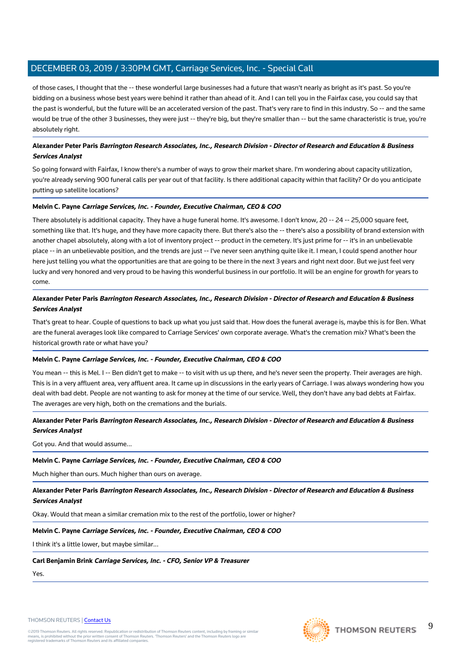of those cases, I thought that the -- these wonderful large businesses had a future that wasn't nearly as bright as it's past. So you're bidding on a business whose best years were behind it rather than ahead of it. And I can tell you in the Fairfax case, you could say that the past is wonderful, but the future will be an accelerated version of the past. That's very rare to find in this industry. So -- and the same would be true of the other 3 businesses, they were just -- they're big, but they're smaller than -- but the same characteristic is true, you're absolutely right.

## **Alexander Peter Paris Barrington Research Associates, Inc., Research Division - Director of Research and Education & Business Services Analyst**

So going forward with Fairfax, I know there's a number of ways to grow their market share. I'm wondering about capacity utilization, you're already serving 900 funeral calls per year out of that facility. Is there additional capacity within that facility? Or do you anticipate putting up satellite locations?

## **Melvin C. Payne Carriage Services, Inc. - Founder, Executive Chairman, CEO & COO**

There absolutely is additional capacity. They have a huge funeral home. It's awesome. I don't know, 20 -- 24 -- 25,000 square feet, something like that. It's huge, and they have more capacity there. But there's also the -- there's also a possibility of brand extension with another chapel absolutely, along with a lot of inventory project -- product in the cemetery. It's just prime for -- it's in an unbelievable place -- in an unbelievable position, and the trends are just -- I've never seen anything quite like it. I mean, I could spend another hour here just telling you what the opportunities are that are going to be there in the next 3 years and right next door. But we just feel very lucky and very honored and very proud to be having this wonderful business in our portfolio. It will be an engine for growth for years to come.

## **Alexander Peter Paris Barrington Research Associates, Inc., Research Division - Director of Research and Education & Business Services Analyst**

That's great to hear. Couple of questions to back up what you just said that. How does the funeral average is, maybe this is for Ben. What are the funeral averages look like compared to Carriage Services' own corporate average. What's the cremation mix? What's been the historical growth rate or what have you?

## **Melvin C. Payne Carriage Services, Inc. - Founder, Executive Chairman, CEO & COO**

You mean -- this is Mel. I -- Ben didn't get to make -- to visit with us up there, and he's never seen the property. Their averages are high. This is in a very affluent area, very affluent area. It came up in discussions in the early years of Carriage. I was always wondering how you deal with bad debt. People are not wanting to ask for money at the time of our service. Well, they don't have any bad debts at Fairfax. The averages are very high, both on the cremations and the burials.

## **Alexander Peter Paris Barrington Research Associates, Inc., Research Division - Director of Research and Education & Business Services Analyst**

Got you. And that would assume...

## **Melvin C. Payne Carriage Services, Inc. - Founder, Executive Chairman, CEO & COO**

Much higher than ours. Much higher than ours on average.

**Alexander Peter Paris Barrington Research Associates, Inc., Research Division - Director of Research and Education & Business Services Analyst**

Okay. Would that mean a similar cremation mix to the rest of the portfolio, lower or higher?

## **Melvin C. Payne Carriage Services, Inc. - Founder, Executive Chairman, CEO & COO**

I think it's a little lower, but maybe similar...

## **Carl Benjamin Brink Carriage Services, Inc. - CFO, Senior VP & Treasurer**

Yes.



9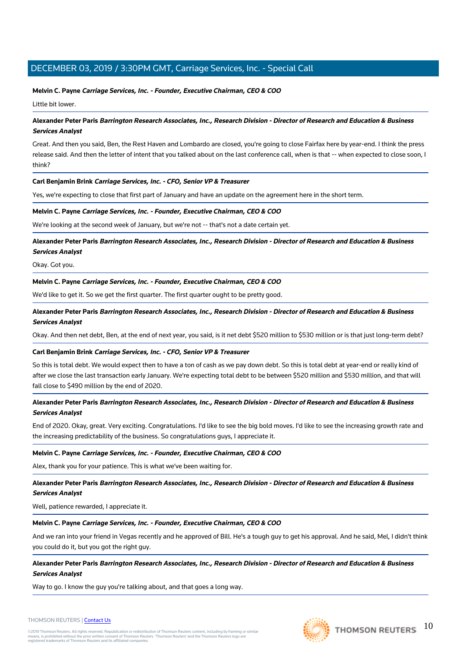## **Melvin C. Payne Carriage Services, Inc. - Founder, Executive Chairman, CEO & COO**

Little bit lower.

## **Alexander Peter Paris Barrington Research Associates, Inc., Research Division - Director of Research and Education & Business Services Analyst**

Great. And then you said, Ben, the Rest Haven and Lombardo are closed, you're going to close Fairfax here by year-end. I think the press release said. And then the letter of intent that you talked about on the last conference call, when is that -- when expected to close soon, I think?

## **Carl Benjamin Brink Carriage Services, Inc. - CFO, Senior VP & Treasurer**

Yes, we're expecting to close that first part of January and have an update on the agreement here in the short term.

## **Melvin C. Payne Carriage Services, Inc. - Founder, Executive Chairman, CEO & COO**

We're looking at the second week of January, but we're not -- that's not a date certain yet.

## **Alexander Peter Paris Barrington Research Associates, Inc., Research Division - Director of Research and Education & Business Services Analyst**

Okay. Got you.

## **Melvin C. Payne Carriage Services, Inc. - Founder, Executive Chairman, CEO & COO**

We'd like to get it. So we get the first quarter. The first quarter ought to be pretty good.

## **Alexander Peter Paris Barrington Research Associates, Inc., Research Division - Director of Research and Education & Business Services Analyst**

Okay. And then net debt, Ben, at the end of next year, you said, is it net debt \$520 million to \$530 million or is that just long-term debt?

## **Carl Benjamin Brink Carriage Services, Inc. - CFO, Senior VP & Treasurer**

So this is total debt. We would expect then to have a ton of cash as we pay down debt. So this is total debt at year-end or really kind of after we close the last transaction early January. We're expecting total debt to be between \$520 million and \$530 million, and that will fall close to \$490 million by the end of 2020.

## **Alexander Peter Paris Barrington Research Associates, Inc., Research Division - Director of Research and Education & Business Services Analyst**

End of 2020. Okay, great. Very exciting. Congratulations. I'd like to see the big bold moves. I'd like to see the increasing growth rate and the increasing predictability of the business. So congratulations guys, I appreciate it.

## **Melvin C. Payne Carriage Services, Inc. - Founder, Executive Chairman, CEO & COO**

Alex, thank you for your patience. This is what we've been waiting for.

## **Alexander Peter Paris Barrington Research Associates, Inc., Research Division - Director of Research and Education & Business Services Analyst**

Well, patience rewarded, I appreciate it.

## **Melvin C. Payne Carriage Services, Inc. - Founder, Executive Chairman, CEO & COO**

And we ran into your friend in Vegas recently and he approved of Bill. He's a tough guy to get his approval. And he said, Mel, I didn't think you could do it, but you got the right guy.

## **Alexander Peter Paris Barrington Research Associates, Inc., Research Division - Director of Research and Education & Business Services Analyst**

Way to go. I know the guy you're talking about, and that goes a long way.

#### THOMSON REUTERS | [Contact Us](https://my.thomsonreuters.com/ContactUsNew)

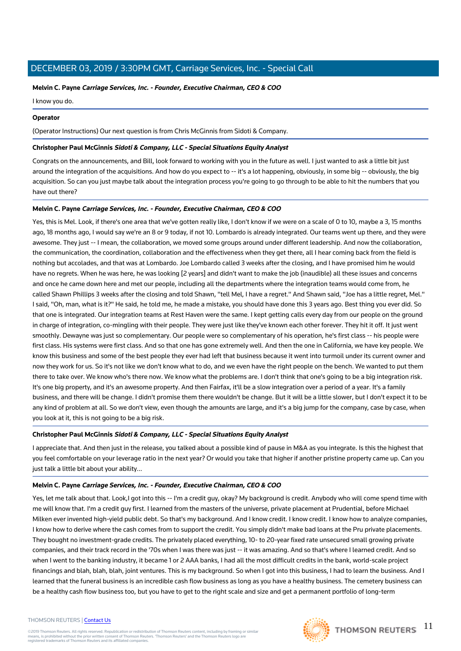## **Melvin C. Payne Carriage Services, Inc. - Founder, Executive Chairman, CEO & COO**

I know you do.

## **Operator**

(Operator Instructions) Our next question is from Chris McGinnis from Sidoti & Company.

## **Christopher Paul McGinnis Sidoti & Company, LLC - Special Situations Equity Analyst**

Congrats on the announcements, and Bill, look forward to working with you in the future as well. I just wanted to ask a little bit just around the integration of the acquisitions. And how do you expect to -- it's a lot happening, obviously, in some big -- obviously, the big acquisition. So can you just maybe talk about the integration process you're going to go through to be able to hit the numbers that you have out there?

## **Melvin C. Payne Carriage Services, Inc. - Founder, Executive Chairman, CEO & COO**

Yes, this is Mel. Look, if there's one area that we've gotten really like, I don't know if we were on a scale of 0 to 10, maybe a 3, 15 months ago, 18 months ago, I would say we're an 8 or 9 today, if not 10. Lombardo is already integrated. Our teams went up there, and they were awesome. They just -- I mean, the collaboration, we moved some groups around under different leadership. And now the collaboration, the communication, the coordination, collaboration and the effectiveness when they get there, all I hear coming back from the field is nothing but accolades, and that was at Lombardo. Joe Lombardo called 3 weeks after the closing, and I have promised him he would have no regrets. When he was here, he was looking [2 years] and didn't want to make the job (inaudible) all these issues and concerns and once he came down here and met our people, including all the departments where the integration teams would come from, he called Shawn Phillips 3 weeks after the closing and told Shawn, "tell Mel, I have a regret." And Shawn said, "Joe has a little regret, Mel." I said, "Oh, man, what is it?" He said, he told me, he made a mistake, you should have done this 3 years ago. Best thing you ever did. So that one is integrated. Our integration teams at Rest Haven were the same. I kept getting calls every day from our people on the ground in charge of integration, co-mingling with their people. They were just like they've known each other forever. They hit it off. It just went smoothly. Dewayne was just so complementary. Our people were so complementary of his operation, he's first class -- his people were first class. His systems were first class. And so that one has gone extremely well. And then the one in California, we have key people. We know this business and some of the best people they ever had left that business because it went into turmoil under its current owner and now they work for us. So it's not like we don't know what to do, and we even have the right people on the bench. We wanted to put them there to take over. We know who's there now. We know what the problems are. I don't think that one's going to be a big integration risk. It's one big property, and it's an awesome property. And then Fairfax, it'll be a slow integration over a period of a year. It's a family business, and there will be change. I didn't promise them there wouldn't be change. But it will be a little slower, but I don't expect it to be any kind of problem at all. So we don't view, even though the amounts are large, and it's a big jump for the company, case by case, when you look at it, this is not going to be a big risk.

## **Christopher Paul McGinnis Sidoti & Company, LLC - Special Situations Equity Analyst**

I appreciate that. And then just in the release, you talked about a possible kind of pause in M&A as you integrate. Is this the highest that you feel comfortable on your leverage ratio in the next year? Or would you take that higher if another pristine property came up. Can you just talk a little bit about your ability...

## **Melvin C. Payne Carriage Services, Inc. - Founder, Executive Chairman, CEO & COO**

Yes, let me talk about that. Look,I got into this -- I'm a credit guy, okay? My background is credit. Anybody who will come spend time with me will know that. I'm a credit guy first. I learned from the masters of the universe, private placement at Prudential, before Michael Milken ever invented high-yield public debt. So that's my background. And I know credit. I know credit. I know how to analyze companies, I know how to derive where the cash comes from to support the credit. You simply didn't make bad loans at the Pru private placements. They bought no investment-grade credits. The privately placed everything, 10- to 20-year fixed rate unsecured small growing private companies, and their track record in the '70s when I was there was just -- it was amazing. And so that's where I learned credit. And so when I went to the banking industry, it became 1 or 2 AAA banks, I had all the most difficult credits in the bank, world-scale project financings and blah, blah, blah, joint ventures. This is my background. So when I got into this business, I had to learn the business. And I learned that the funeral business is an incredible cash flow business as long as you have a healthy business. The cemetery business can be a healthy cash flow business too, but you have to get to the right scale and size and get a permanent portfolio of long-term

#### THOMSON REUTERS | [Contact Us](https://my.thomsonreuters.com/ContactUsNew)